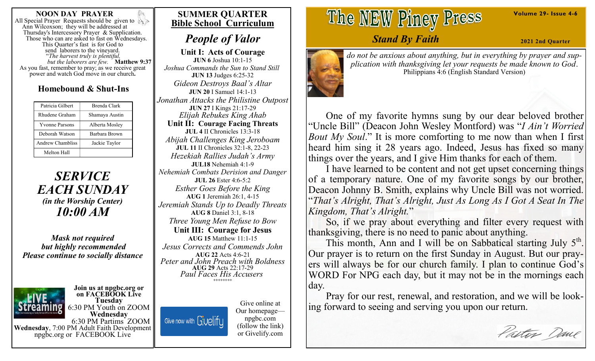### **NOON DAY PRAYER**

All Special Prayer Requests should be given to Ann Wilcoxson; they will be addressed at Thursday's Intercessory Prayer & Supplication. Those who can are asked to fast on Wednesdays. This Quarter's fast is for God to send laborers to the vineyard. "*The harvest truly is plentiful, but the laborers are few.* **Matthew 9:37**  As you fast, remember to pray; as we receive great power and watch God move in our church**.**

### **Homebound & Shut-Ins**

| Patricia Gilbert      | Brenda Clark   |
|-----------------------|----------------|
| Rhudene Graham        | Shamaya Austin |
| <b>Yvonne Parsons</b> | Alberta Mosley |
| Deborah Watson        | Barbara Brown  |
| Andrew Chambliss      | Jackie Taylor  |
| Melton Hall           |                |

*SERVICE EACH SUNDAY (in the Worship Center) 10:00 AM*

*Mask not required but highly recommended Please continue to socially distance*



#### **Join us at npgbc.org or on FACEBOOK Live Tuesday** 6:30 PM Youth on ZOOM

**Wednesday** 6:30 PM Partims ZOOM **Wednesday**, 7:00 PM Adult Faith Development npgbc.org or FACEBOOK Live

### **SUMMER QUARTER Bible School Curriculum**

# *People of Valor*

**Unit I: Acts of Courage JUN 6** Joshua 10:1-15 *Joshua Commands the Sun to Stand Still* **JUN 13** Judges 6:25-32 *Gideon Destroys Baal's Altar* **JUN 20** I Samuel 14:1-13 *Jonathan Attacks the Philistine Outpost* **JUN 27** I Kings 21:17-29 *Elijah Rebukes King Ahab* **Unit II: Courage Facing Threats JUL 4** II Chronicles 13:3-18 *Abijah Challenges King Jeroboam* **JUL 11 II Chronicles 32:1-8, 22-23** *Hezekiah Rallies Judah's Army* **JUL18** Nehemiah 4:1-9 *Nehemiah Combats Derision and Danger* **JUL 26** Ester 4:6-5:2 *Esther Goes Before the King* **AUG 1** Jeremiah 26:1, 4-15 *Jeremiah Stands Up to Deadly Threats* **AUG 8** Daniel 3:1, 8-18 *Three Young Men Refuse to Bow* **Unit III: Courage for Jesus AUG 15** Matthew 11:1-15 *Jesus Corrects and Commends John* **AUG 22** Acts 4:6-21 *Peter and John Preach with Boldness* **AUG 29** Acts 22:17-29 *Paul Faces His Accusers* **++++++++**

Give now with Givelify

Give online at Our homepage npgbc.com (follow the link) or Givelify.com

The NEW Piney Press

## *Stand By Faith*

**2021 2nd Quarter**



*do not be anxious about anything, but in everything by prayer and supplication with thanksgiving let your requests be made known to God*. Philippians 4:6 (English Standard Version)

 One of my favorite hymns sung by our dear beloved brother "Uncle Bill" (Deacon John Wesley Montford) was "*I Ain't Worried Bout My Soul*." It is more comforting to me now than when I first heard him sing it 28 years ago. Indeed, Jesus has fixed so many things over the years, and I give Him thanks for each of them.

 I have learned to be content and not get upset concerning things of a temporary nature. One of my favorite songs by our brother, Deacon Johnny B. Smith, explains why Uncle Bill was not worried. "*That's Alright, That's Alright, Just As Long As I Got A Seat In The Kingdom, That's Alright.*"

 So, if we pray about everything and filter every request with thanksgiving, there is no need to panic about anything.

This month, Ann and I will be on Sabbatical starting July 5<sup>th</sup>. Our prayer is to return on the first Sunday in August. But our prayers will always be for our church family. I plan to continue God's WORD For NPG each day, but it may not be in the mornings each day.

 Pray for our rest, renewal, and restoration, and we will be looking forward to seeing and serving you upon our return.

Pastor Dane

**Volume 29- Issue 4-6**